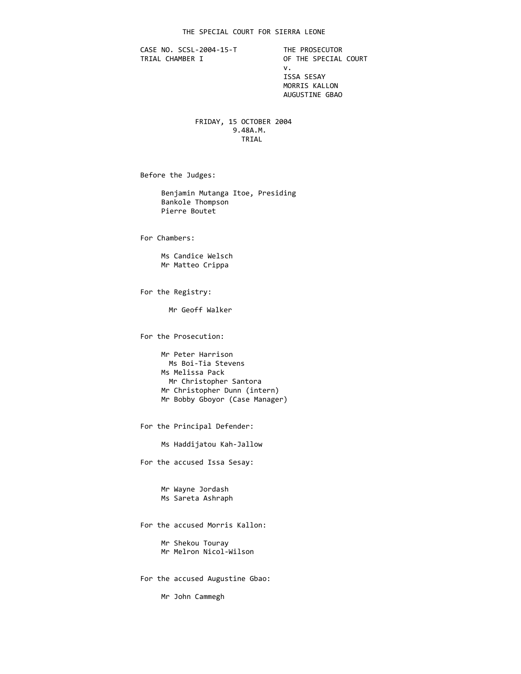CASE NO. SCSL-2004-15-T THE PROSECUTOR<br>TRIAL CHAMBER I OF THE SPECIAL

OF THE SPECIAL COURT v. ISSA SESAY MORRIS KALLON AUGUSTINE GBAO

 FRIDAY, 15 OCTOBER 2004 9.48A.M. **TRIAL** 

Before the Judges:

 Benjamin Mutanga Itoe, Presiding Bankole Thompson Pierre Boutet

For Chambers:

 Ms Candice Welsch Mr Matteo Crippa

For the Registry:

Mr Geoff Walker

For the Prosecution:

 Mr Peter Harrison Ms Boi‐Tia Stevens Ms Melissa Pack Mr Christopher Santora Mr Christopher Dunn (intern) Mr Bobby Gboyor (Case Manager)

For the Principal Defender:

Ms Haddijatou Kah‐Jallow

For the accused Issa Sesay:

 Mr Wayne Jordash Ms Sareta Ashraph

For the accused Morris Kallon:

 Mr Shekou Touray Mr Melron Nicol‐Wilson

For the accused Augustine Gbao:

Mr John Cammegh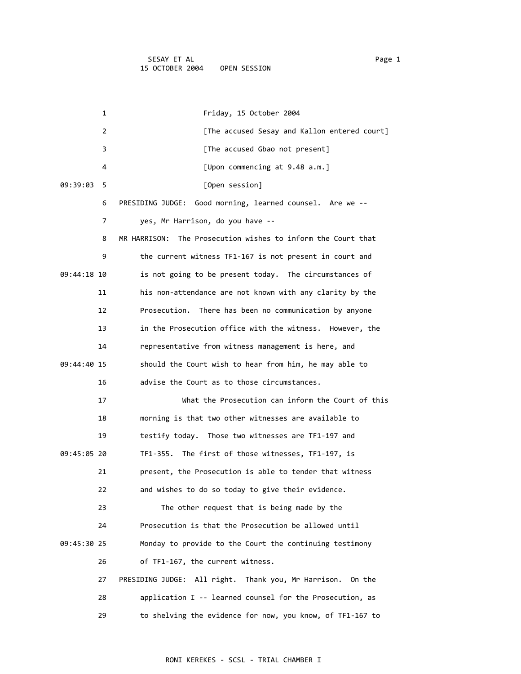|             | 1  | Friday, 15 October 2004                                          |
|-------------|----|------------------------------------------------------------------|
|             | 2  | [The accused Sesay and Kallon entered court]                     |
|             | 3  | [The accused Gbao not present]                                   |
|             | 4  | [Upon commencing at 9.48 a.m.]                                   |
| 09:39:03    | 5  | [Open session]                                                   |
|             | 6  | Good morning, learned counsel. Are we --<br>PRESIDING JUDGE:     |
|             | 7  | yes, Mr Harrison, do you have --                                 |
|             | 8  | MR HARRISON: The Prosecution wishes to inform the Court that     |
|             | 9  | the current witness TF1-167 is not present in court and          |
| 09:44:18 10 |    | is not going to be present today. The circumstances of           |
|             | 11 | his non-attendance are not known with any clarity by the         |
|             | 12 | Prosecution. There has been no communication by anyone           |
|             | 13 | in the Prosecution office with the witness. However, the         |
|             | 14 | representative from witness management is here, and              |
| 09:44:40 15 |    | should the Court wish to hear from him, he may able to           |
|             | 16 | advise the Court as to those circumstances.                      |
|             | 17 | What the Prosecution can inform the Court of this                |
|             | 18 | morning is that two other witnesses are available to             |
|             | 19 | testify today. Those two witnesses are TF1-197 and               |
| 09:45:05 20 |    | TF1-355. The first of those witnesses, TF1-197, is               |
|             | 21 | present, the Prosecution is able to tender that witness          |
|             | 22 | and wishes to do so today to give their evidence.                |
|             | 23 | The other request that is being made by the                      |
|             | 24 | Prosecution is that the Prosecution be allowed until             |
| 09:45:30 25 |    | Monday to provide to the Court the continuing testimony          |
|             | 26 | of TF1-167, the current witness.                                 |
|             | 27 | All right. Thank you, Mr Harrison.<br>PRESIDING JUDGE:<br>On the |
|             | 28 | application I -- learned counsel for the Prosecution, as         |
|             | 29 | to shelving the evidence for now, you know, of TF1-167 to        |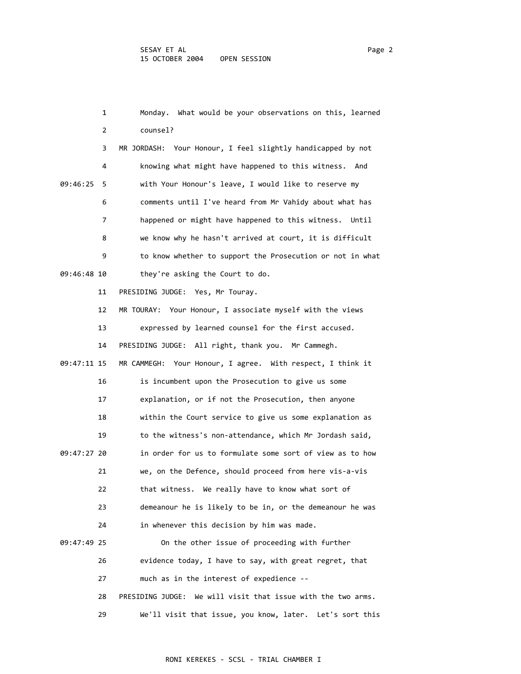|             | 1              | What would be your observations on this, learned<br>Monday.     |
|-------------|----------------|-----------------------------------------------------------------|
|             | $\overline{2}$ | counsel?                                                        |
|             | 3              | MR JORDASH: Your Honour, I feel slightly handicapped by not     |
|             | 4              | knowing what might have happened to this witness. And           |
| 09:46:25    | 5              | with Your Honour's leave, I would like to reserve my            |
|             | 6              | comments until I've heard from Mr Vahidy about what has         |
|             | 7              | happened or might have happened to this witness.<br>Until       |
|             | 8              | we know why he hasn't arrived at court, it is difficult         |
|             | 9              | to know whether to support the Prosecution or not in what       |
| 09:46:48 10 |                | they're asking the Court to do.                                 |
|             | 11             | PRESIDING JUDGE: Yes, Mr Touray.                                |
|             | 12             | MR TOURAY: Your Honour, I associate myself with the views       |
|             | 13             | expressed by learned counsel for the first accused.             |
|             | 14             | PRESIDING JUDGE: All right, thank you. Mr Cammegh.              |
| 09:47:11 15 |                | MR CAMMEGH: Your Honour, I agree. With respect, I think it      |
|             | 16             | is incumbent upon the Prosecution to give us some               |
|             | 17             | explanation, or if not the Prosecution, then anyone             |
|             | 18             | within the Court service to give us some explanation as         |
|             | 19             | to the witness's non-attendance, which Mr Jordash said,         |
| 09:47:27 20 |                | in order for us to formulate some sort of view as to how        |
|             | 21             | we, on the Defence, should proceed from here vis-a-vis          |
|             | 22             | that witness. We really have to know what sort of               |
|             | 23             | demeanour he is likely to be in, or the demeanour he was        |
|             | 24             | in whenever this decision by him was made.                      |
| 09:47:49 25 |                | On the other issue of proceeding with further                   |
|             | 26             | evidence today, I have to say, with great regret, that          |
|             | 27             | much as in the interest of expedience --                        |
|             | 28             | PRESIDING JUDGE:<br>We will visit that issue with the two arms. |
|             | 29             | We'll visit that issue, you know, later. Let's sort this        |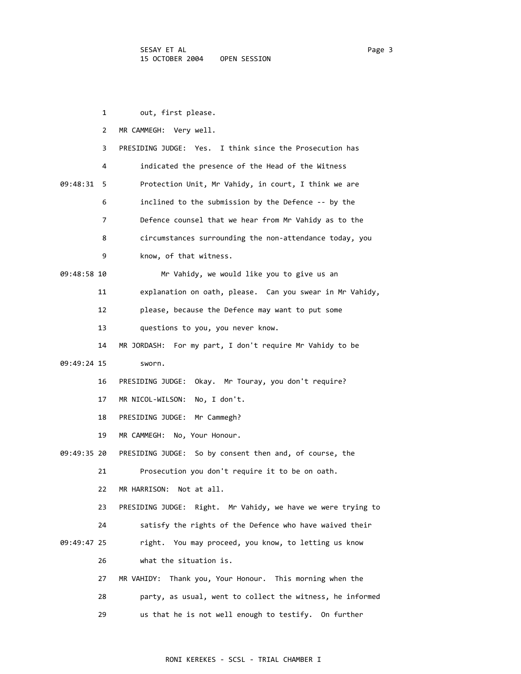|             | 1            | out, first please.                                           |
|-------------|--------------|--------------------------------------------------------------|
|             | $\mathbf{2}$ | MR CAMMEGH: Very well.                                       |
|             | 3            | PRESIDING JUDGE: Yes. I think since the Prosecution has      |
|             | 4            | indicated the presence of the Head of the Witness            |
| 09:48:31    | -5           | Protection Unit, Mr Vahidy, in court, I think we are         |
|             | 6            | inclined to the submission by the Defence -- by the          |
|             | 7            | Defence counsel that we hear from Mr Vahidy as to the        |
|             | 8            | circumstances surrounding the non-attendance today, you      |
|             | 9            | know, of that witness.                                       |
| 09:48:58 10 |              | Mr Vahidy, we would like you to give us an                   |
|             | 11           | explanation on oath, please. Can you swear in Mr Vahidy,     |
|             | 12           | please, because the Defence may want to put some             |
|             | 13           | questions to you, you never know.                            |
|             | 14           | MR JORDASH: For my part, I don't require Mr Vahidy to be     |
| 09:49:24 15 |              | sworn.                                                       |
|             | 16           | PRESIDING JUDGE: Okay. Mr Touray, you don't require?         |
|             | 17           | No, I don't.<br>MR NICOL-WILSON:                             |
|             | 18           | PRESIDING JUDGE: Mr Cammegh?                                 |
|             | 19           | MR CAMMEGH: No, Your Honour.                                 |
| 09:49:35 20 |              | PRESIDING JUDGE: So by consent then and, of course, the      |
|             | 21           | Prosecution you don't require it to be on oath.              |
|             | 22           | MR HARRISON: Not at all.                                     |
|             | 23           | PRESIDING JUDGE: Right. Mr Vahidy, we have we were trying to |
|             | 24           | satisfy the rights of the Defence who have waived their      |
| 09:49:47 25 |              | right. You may proceed, you know, to letting us know         |
|             | 26           | what the situation is.                                       |
|             | 27           | Thank you, Your Honour. This morning when the<br>MR VAHIDY:  |
|             | 28           | party, as usual, went to collect the witness, he informed    |
|             | 29           | us that he is not well enough to testify. On further         |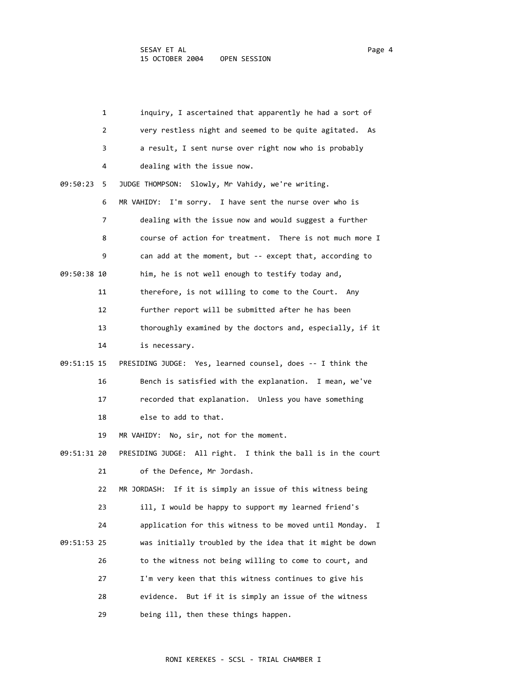| 1             | inquiry, I ascertained that apparently he had a sort of                   |
|---------------|---------------------------------------------------------------------------|
|               | very restless night and seemed to be quite agitated. As<br>$\overline{2}$ |
| 3             | a result, I sent nurse over right now who is probably                     |
| 4             | dealing with the issue now.                                               |
| 09:50:23<br>5 | JUDGE THOMPSON: Slowly, Mr Vahidy, we're writing.                         |
|               | MR VAHIDY: I'm sorry. I have sent the nurse over who is<br>6              |
|               | 7<br>dealing with the issue now and would suggest a further               |
| 8             | course of action for treatment. There is not much more I                  |
| 9             | can add at the moment, but -- except that, according to                   |
| 09:50:38 10   | him, he is not well enough to testify today and,                          |
| 11            | therefore, is not willing to come to the Court. Any                       |
| 12            | further report will be submitted after he has been                        |
| 13            | thoroughly examined by the doctors and, especially, if it                 |
| 14            | is necessary.                                                             |
| 09:51:15 15   | PRESIDING JUDGE: Yes, learned counsel, does -- I think the                |
| 16            | Bench is satisfied with the explanation. I mean, we've                    |
| 17            | recorded that explanation. Unless you have something                      |
| 18            | else to add to that.                                                      |
| 19            | MR VAHIDY: No, sir, not for the moment.                                   |
| 09:51:31 20   | PRESIDING JUDGE: All right. I think the ball is in the court              |
| 21            | of the Defence, Mr Jordash.                                               |
| 22            | MR JORDASH: If it is simply an issue of this witness being                |
| 23            | ill, I would be happy to support my learned friend's                      |
| 24            | application for this witness to be moved until Monday.<br>I               |
| 09:51:53 25   | was initially troubled by the idea that it might be down                  |
| 26            | to the witness not being willing to come to court, and                    |
| 27            | I'm very keen that this witness continues to give his                     |
| 28            | But if it is simply an issue of the witness<br>evidence.                  |
| 29            | being ill, then these things happen.                                      |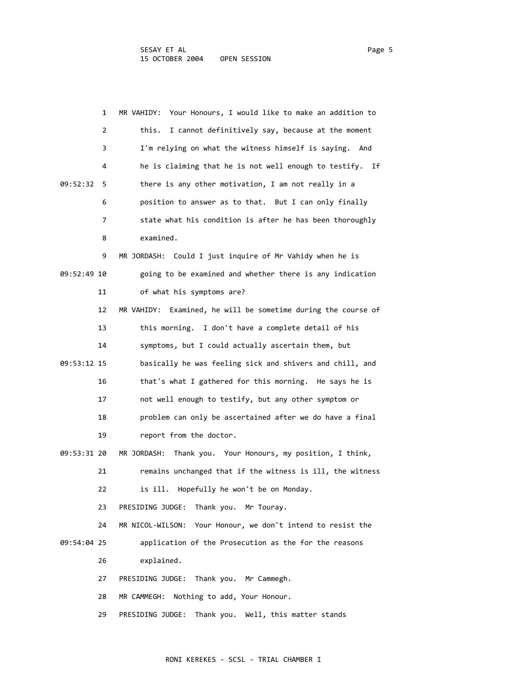|             | 1<br>MR VAHIDY: Your Honours, I would like to make an addition to |
|-------------|-------------------------------------------------------------------|
|             | I cannot definitively say, because at the moment<br>this.<br>2    |
|             | I'm relying on what the witness himself is saying. And<br>3       |
|             | he is claiming that he is not well enough to testify. If<br>4     |
| 09:52:32    | there is any other motivation, I am not really in a<br>5          |
|             | position to answer as to that. But I can only finally<br>6        |
|             | 7<br>state what his condition is after he has been thoroughly     |
|             | examined.<br>8                                                    |
|             | 9<br>MR JORDASH: Could I just inquire of Mr Vahidy when he is     |
| 09:52:49 10 | going to be examined and whether there is any indication          |
| 11          | of what his symptoms are?                                         |
| 12          | MR VAHIDY: Examined, he will be sometime during the course of     |
| 13          | this morning. I don't have a complete detail of his               |
| 14          | symptoms, but I could actually ascertain them, but                |
| 09:53:12 15 | basically he was feeling sick and shivers and chill, and          |
| 16          | that's what I gathered for this morning. He says he is            |
| 17          | not well enough to testify, but any other symptom or              |
| 18          | problem can only be ascertained after we do have a final          |
| 19          | report from the doctor.                                           |
| 09:53:31 20 | MR JORDASH:<br>Thank you. Your Honours, my position, I think,     |
| 21          | remains unchanged that if the witness is ill, the witness         |
| 22          | is ill. Hopefully he won't be on Monday.                          |
| 23          | PRESIDING JUDGE:<br>Thank you. Mr Touray.                         |
| 24          | MR NICOL-WILSON: Your Honour, we don't intend to resist the       |
| 09:54:04 25 | application of the Prosecution as the for the reasons             |
| 26          | explained.                                                        |
| 27          | Thank you. Mr Cammegh.<br>PRESIDING JUDGE:                        |
| 28          | Nothing to add, Your Honour.<br>MR CAMMEGH:                       |
| 29          | Thank you. Well, this matter stands<br>PRESIDING JUDGE:           |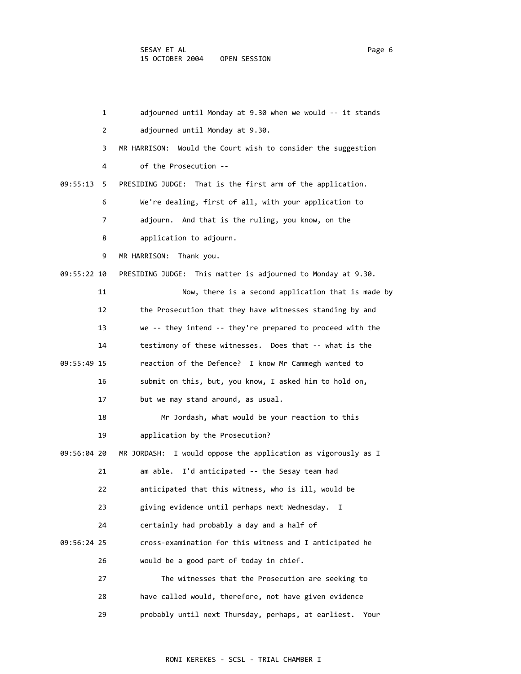|             | 1  | adjourned until Monday at 9.30 when we would -- it stands     |
|-------------|----|---------------------------------------------------------------|
|             | 2  | adjourned until Monday at 9.30.                               |
|             | 3  | MR HARRISON: Would the Court wish to consider the suggestion  |
|             | 4  | of the Prosecution --                                         |
| 09:55:13    | 5  | PRESIDING JUDGE: That is the first arm of the application.    |
|             | 6  | We're dealing, first of all, with your application to         |
|             | 7  | adjourn. And that is the ruling, you know, on the             |
|             | 8  | application to adjourn.                                       |
|             | 9  | MR HARRISON:<br>Thank you.                                    |
| 09:55:22 10 |    | PRESIDING JUDGE: This matter is adjourned to Monday at 9.30.  |
|             | 11 | Now, there is a second application that is made by            |
|             | 12 | the Prosecution that they have witnesses standing by and      |
|             | 13 | we -- they intend -- they're prepared to proceed with the     |
|             | 14 | testimony of these witnesses. Does that -- what is the        |
| 09:55:49 15 |    | reaction of the Defence? I know Mr Cammegh wanted to          |
|             | 16 | submit on this, but, you know, I asked him to hold on,        |
|             | 17 | but we may stand around, as usual.                            |
|             | 18 | Mr Jordash, what would be your reaction to this               |
|             | 19 | application by the Prosecution?                               |
| 09:56:04 20 |    | MR JORDASH: I would oppose the application as vigorously as I |
|             | 21 | am able. I'd anticipated -- the Sesay team had                |
|             | 22 | anticipated that this witness, who is ill, would be           |
|             | 23 | giving evidence until perhaps next Wednesday.<br>Ι.           |
|             | 24 | certainly had probably a day and a half of                    |
| 09:56:24 25 |    | cross-examination for this witness and I anticipated he       |
|             | 26 | would be a good part of today in chief.                       |
|             | 27 | The witnesses that the Prosecution are seeking to             |
|             | 28 | have called would, therefore, not have given evidence         |
|             | 29 | probably until next Thursday, perhaps, at earliest.<br>Your   |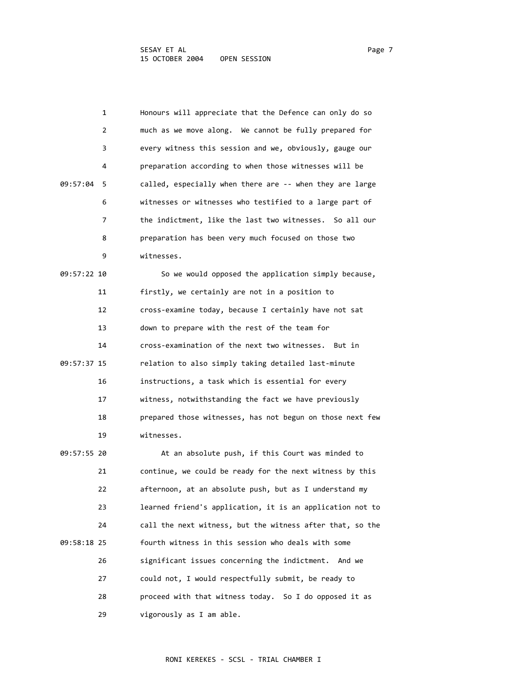|             | 1  | Honours will appreciate that the Defence can only do so   |
|-------------|----|-----------------------------------------------------------|
|             | 2  | much as we move along. We cannot be fully prepared for    |
|             | 3  | every witness this session and we, obviously, gauge our   |
|             | 4  | preparation according to when those witnesses will be     |
| 09:57:04    | 5  | called, especially when there are -- when they are large  |
|             | 6  | witnesses or witnesses who testified to a large part of   |
|             | 7  | the indictment, like the last two witnesses. So all our   |
|             | 8  | preparation has been very much focused on those two       |
|             | 9  | witnesses.                                                |
| 09:57:22 10 |    | So we would opposed the application simply because,       |
|             | 11 | firstly, we certainly are not in a position to            |
|             | 12 | cross-examine today, because I certainly have not sat     |
|             | 13 | down to prepare with the rest of the team for             |
|             | 14 | cross-examination of the next two witnesses. But in       |
| 09:57:37 15 |    | relation to also simply taking detailed last-minute       |
|             | 16 | instructions, a task which is essential for every         |
|             | 17 | witness, notwithstanding the fact we have previously      |
|             | 18 | prepared those witnesses, has not begun on those next few |
|             | 19 | witnesses.                                                |
| 09:57:55 20 |    | At an absolute push, if this Court was minded to          |
|             | 21 | continue, we could be ready for the next witness by this  |
|             | 22 | afternoon, at an absolute push, but as I understand my    |
|             | 23 | learned friend's application, it is an application not to |
|             | 24 | call the next witness, but the witness after that, so the |
| 09:58:18 25 |    | fourth witness in this session who deals with some        |
|             | 26 | significant issues concerning the indictment.<br>And we   |

 27 could not, I would respectfully submit, be ready to 28 proceed with that witness today. So I do opposed it as 29 vigorously as I am able.

## RONI KEREKES ‐ SCSL ‐ TRIAL CHAMBER I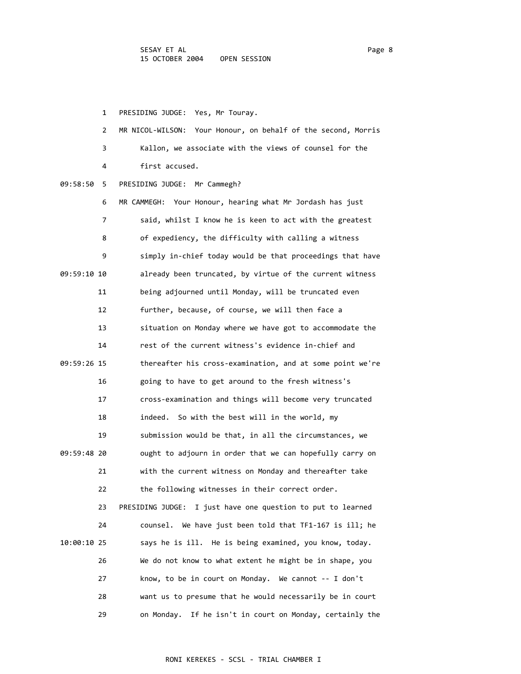1 PRESIDING JUDGE: Yes, Mr Touray.

|             | $\overline{2}$ | MR NICOL-WILSON: Your Honour, on behalf of the second, Morris  |
|-------------|----------------|----------------------------------------------------------------|
|             | 3              | Kallon, we associate with the views of counsel for the         |
|             | 4              | first accused.                                                 |
| 09:58:50    | 5              | PRESIDING JUDGE: Mr Cammegh?                                   |
|             | 6              | MR CAMMEGH: Your Honour, hearing what Mr Jordash has just      |
|             | 7              | said, whilst I know he is keen to act with the greatest        |
|             | 8              | of expediency, the difficulty with calling a witness           |
|             | 9              | simply in-chief today would be that proceedings that have      |
| 09:59:10 10 |                | already been truncated, by virtue of the current witness       |
|             | 11             | being adjourned until Monday, will be truncated even           |
|             | 12             | further, because, of course, we will then face a               |
|             | 13             | situation on Monday where we have got to accommodate the       |
|             | 14             | rest of the current witness's evidence in-chief and            |
| 09:59:26 15 |                | thereafter his cross-examination, and at some point we're      |
|             | 16             | going to have to get around to the fresh witness's             |
|             | 17             | cross-examination and things will become very truncated        |
|             | 18             | indeed. So with the best will in the world, my                 |
|             | 19             | submission would be that, in all the circumstances, we         |
| 09:59:48 20 |                | ought to adjourn in order that we can hopefully carry on       |
|             | 21             | with the current witness on Monday and thereafter take         |
|             | 22             | the following witnesses in their correct order.                |
|             | 23             | PRESIDING JUDGE:<br>I just have one question to put to learned |
|             | 24             | counsel. We have just been told that TF1-167 is ill; he        |
| 10:00:10 25 |                | says he is ill. He is being examined, you know, today.         |
|             | 26             | We do not know to what extent he might be in shape, you        |
|             | 27             | know, to be in court on Monday. We cannot -- I don't           |
|             | 28             | want us to presume that he would necessarily be in court       |
|             | 29             | on Monday. If he isn't in court on Monday, certainly the       |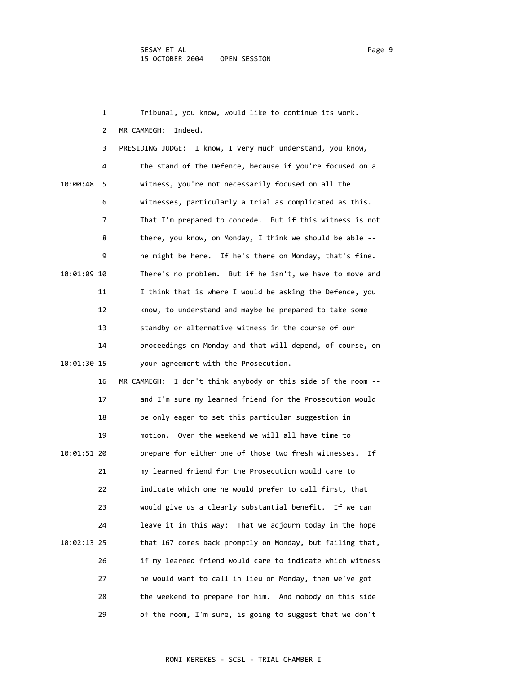|             | 1  | Tribunal, you know, would like to continue its work.             |
|-------------|----|------------------------------------------------------------------|
|             | 2  | Indeed.<br>MR CAMMEGH:                                           |
|             | 3  | PRESIDING JUDGE: I know, I very much understand, you know,       |
|             | 4  | the stand of the Defence, because if you're focused on a         |
| 10:00:48    | 5  | witness, you're not necessarily focused on all the               |
|             | 6  | witnesses, particularly a trial as complicated as this.          |
|             | 7  | That I'm prepared to concede. But if this witness is not         |
|             | 8  | there, you know, on Monday, I think we should be able --         |
|             | 9  | he might be here. If he's there on Monday, that's fine.          |
| 10:01:09 10 |    | There's no problem. But if he isn't, we have to move and         |
|             | 11 | I think that is where I would be asking the Defence, you         |
|             | 12 | know, to understand and maybe be prepared to take some           |
|             | 13 | standby or alternative witness in the course of our              |
|             | 14 | proceedings on Monday and that will depend, of course, on        |
| 10:01:30 15 |    | your agreement with the Prosecution.                             |
|             | 16 | MR CAMMEGH:<br>I don't think anybody on this side of the room -- |
|             | 17 | and I'm sure my learned friend for the Prosecution would         |
|             | 18 | be only eager to set this particular suggestion in               |
|             | 19 | Over the weekend we will all have time to<br>motion.             |
| 10:01:51 20 |    | prepare for either one of those two fresh witnesses.<br>Ιf       |
|             | 21 | my learned friend for the Prosecution would care to              |
|             | 22 | indicate which one he would prefer to call first, that           |
|             | 23 | would give us a clearly substantial benefit. If we can           |
|             | 24 | leave it in this way: That we adjourn today in the hope          |
| 10:02:13 25 |    | that 167 comes back promptly on Monday, but failing that,        |
|             | 26 | if my learned friend would care to indicate which witness        |
|             | 27 | he would want to call in lieu on Monday, then we've got          |
|             | 28 | the weekend to prepare for him. And nobody on this side          |
|             | 29 | of the room, I'm sure, is going to suggest that we don't         |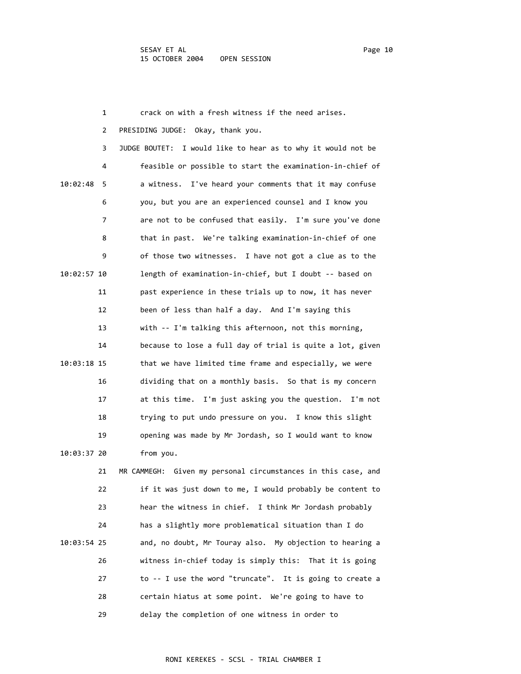1 crack on with a fresh witness if the need arises. 2 PRESIDING JUDGE: Okay, thank you. 3 JUDGE BOUTET: I would like to hear as to why it would not be 4 feasible or possible to start the examination‐in‐chief of 10:02:48 5 a witness. I've heard your comments that it may confuse 6 you, but you are an experienced counsel and I know you 7 are not to be confused that easily. I'm sure you've done 8 that in past. We're talking examination‐in‐chief of one 9 of those two witnesses. I have not got a clue as to the 10:02:57 10 length of examination‐in‐chief, but I doubt ‐‐ based on 11 past experience in these trials up to now, it has never 12 been of less than half a day. And I'm saying this 13 with ‐‐ I'm talking this afternoon, not this morning, 14 because to lose a full day of trial is quite a lot, given 10:03:18 15 that we have limited time frame and especially, we were 16 dividing that on a monthly basis. So that is my concern 17 at this time. I'm just asking you the question. I'm not 18 trying to put undo pressure on you. I know this slight 19 opening was made by Mr Jordash, so I would want to know 10:03:37 20 from you. 21 MR CAMMEGH: Given my personal circumstances in this case, and 22 if it was just down to me, I would probably be content to 23 hear the witness in chief. I think Mr Jordash probably 24 has a slightly more problematical situation than I do 10:03:54 25 and, no doubt, Mr Touray also. My objection to hearing a 26 witness in‐chief today is simply this: That it is going 27 to ‐‐ I use the word "truncate". It is going to create a 28 certain hiatus at some point. We're going to have to 29 delay the completion of one witness in order to

## RONI KEREKES ‐ SCSL ‐ TRIAL CHAMBER I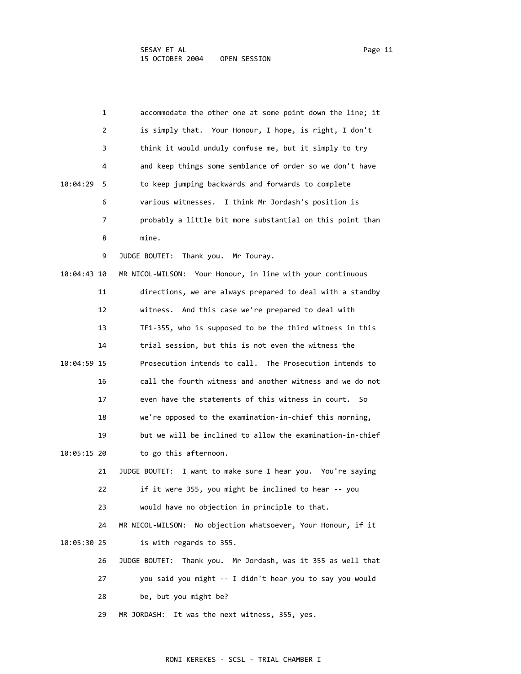| 1              | accommodate the other one at some point down the line; it       |
|----------------|-----------------------------------------------------------------|
| 2              | is simply that. Your Honour, I hope, is right, I don't          |
| 3              | think it would unduly confuse me, but it simply to try          |
| 4              | and keep things some semblance of order so we don't have        |
| 10:04:29<br>-5 | to keep jumping backwards and forwards to complete              |
| 6              | various witnesses. I think Mr Jordash's position is             |
| 7              | probably a little bit more substantial on this point than       |
| 8              | mine.                                                           |
| 9              | JUDGE BOUTET:<br>Thank you. Mr Touray.                          |
| 10:04:43 10    | MR NICOL-WILSON: Your Honour, in line with your continuous      |
| 11             | directions, we are always prepared to deal with a standby       |
| 12             | witness. And this case we're prepared to deal with              |
| 13             | TF1-355, who is supposed to be the third witness in this        |
| 14             | trial session, but this is not even the witness the             |
| 10:04:59 15    | Prosecution intends to call. The Prosecution intends to         |
| 16             | call the fourth witness and another witness and we do not       |
| 17             | even have the statements of this witness in court. So           |
| 18             | we're opposed to the examination-in-chief this morning,         |
| 19             | but we will be inclined to allow the examination-in-chief       |
| 10:05:15 20    | to go this afternoon.                                           |
| 21             | JUDGE BOUTET:<br>I want to make sure I hear you. You're saying  |
| 22             | if it were 355, you might be inclined to hear -- you            |
| 23             | would have no objection in principle to that.                   |
| 24             | No objection whatsoever, Your Honour, if it<br>MR NICOL-WILSON: |
| 10:05:30 25    | is with regards to 355.                                         |
| 26             | JUDGE BOUTET: Thank you. Mr Jordash, was it 355 as well that    |
| 27             | you said you might -- I didn't hear you to say you would        |
| 28             | be, but you might be?                                           |
| 29             | MR JORDASH:<br>It was the next witness, 355, yes.               |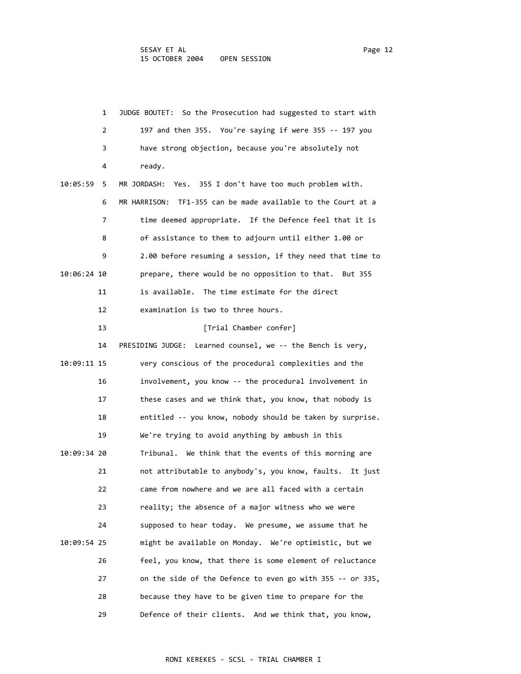|             | 1  | JUDGE BOUTET: So the Prosecution had suggested to start with    |
|-------------|----|-----------------------------------------------------------------|
|             | 2  | 197 and then 355. You're saying if were 355 -- 197 you          |
|             | 3  | have strong objection, because you're absolutely not            |
|             | 4  | ready.                                                          |
| 10:05:59    | 5  | MR JORDASH:<br>Yes. 355 I don't have too much problem with.     |
|             | 6  | TF1-355 can be made available to the Court at a<br>MR HARRISON: |
|             | 7  | time deemed appropriate. If the Defence feel that it is         |
|             | 8  | of assistance to them to adjourn until either 1.00 or           |
|             | 9  | 2.00 before resuming a session, if they need that time to       |
| 10:06:24 10 |    | prepare, there would be no opposition to that. But 355          |
|             | 11 | is available. The time estimate for the direct                  |
|             | 12 | examination is two to three hours.                              |
|             | 13 | [Trial Chamber confer]                                          |
|             | 14 | PRESIDING JUDGE: Learned counsel, we -- the Bench is very,      |
| 10:09:11 15 |    | very conscious of the procedural complexities and the           |
|             | 16 | involvement, you know -- the procedural involvement in          |
|             | 17 | these cases and we think that, you know, that nobody is         |
|             | 18 | entitled -- you know, nobody should be taken by surprise.       |
|             | 19 | We're trying to avoid anything by ambush in this                |
| 10:09:34 20 |    | Tribunal. We think that the events of this morning are          |
|             | 21 | not attributable to anybody's, you know, faults.<br>It just     |
|             | 22 | came from nowhere and we are all faced with a certain           |
|             | 23 | reality; the absence of a major witness who we were             |
|             | 24 | supposed to hear today. We presume, we assume that he           |
| 10:09:54 25 |    | might be available on Monday. We're optimistic, but we          |
|             | 26 | feel, you know, that there is some element of reluctance        |
|             | 27 | on the side of the Defence to even go with 355 -- or 335,       |
|             | 28 | because they have to be given time to prepare for the           |
|             | 29 | Defence of their clients.<br>And we think that, you know,       |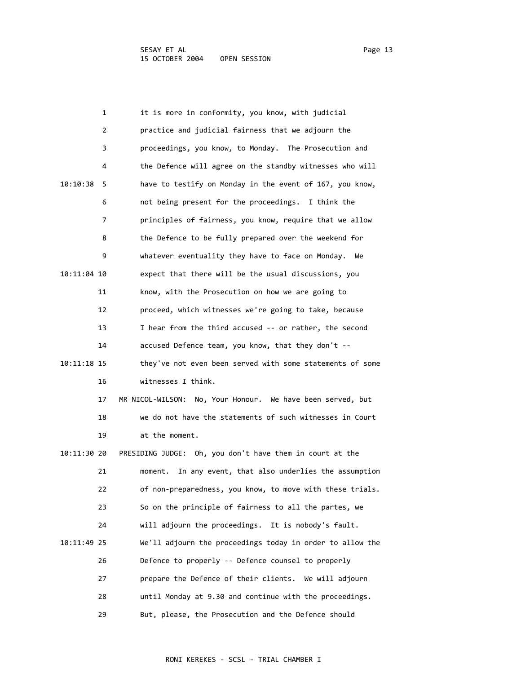|             | 1  | it is more in conformity, you know, with judicial           |
|-------------|----|-------------------------------------------------------------|
|             | 2  | practice and judicial fairness that we adjourn the          |
|             | 3  | proceedings, you know, to Monday. The Prosecution and       |
|             | 4  | the Defence will agree on the standby witnesses who will    |
| 10:10:38    | 5  | have to testify on Monday in the event of 167, you know,    |
|             | 6  | not being present for the proceedings. I think the          |
|             | 7  | principles of fairness, you know, require that we allow     |
|             | 8  | the Defence to be fully prepared over the weekend for       |
|             | 9  | whatever eventuality they have to face on Monday.<br>We     |
| 10:11:04 10 |    | expect that there will be the usual discussions, you        |
|             | 11 | know, with the Prosecution on how we are going to           |
|             | 12 | proceed, which witnesses we're going to take, because       |
|             | 13 | I hear from the third accused -- or rather, the second      |
|             | 14 | accused Defence team, you know, that they don't --          |
| 10:11:18 15 |    | they've not even been served with some statements of some   |
|             | 16 | witnesses I think.                                          |
|             | 17 | MR NICOL-WILSON: No, Your Honour. We have been served, but  |
|             | 18 | we do not have the statements of such witnesses in Court    |
|             | 19 | at the moment.                                              |
| 10:11:30 20 |    | PRESIDING JUDGE: Oh, you don't have them in court at the    |
|             | 21 | In any event, that also underlies the assumption<br>moment. |
|             | 22 | of non-preparedness, you know, to move with these trials.   |
|             | 23 | So on the principle of fairness to all the partes, we       |
|             | 24 | will adjourn the proceedings. It is nobody's fault.         |
| 10:11:49 25 |    | We'll adjourn the proceedings today in order to allow the   |
|             | 26 | Defence to properly -- Defence counsel to properly          |
|             | 27 | prepare the Defence of their clients. We will adjourn       |
|             | 28 | until Monday at 9.30 and continue with the proceedings.     |
|             | 29 | But, please, the Prosecution and the Defence should         |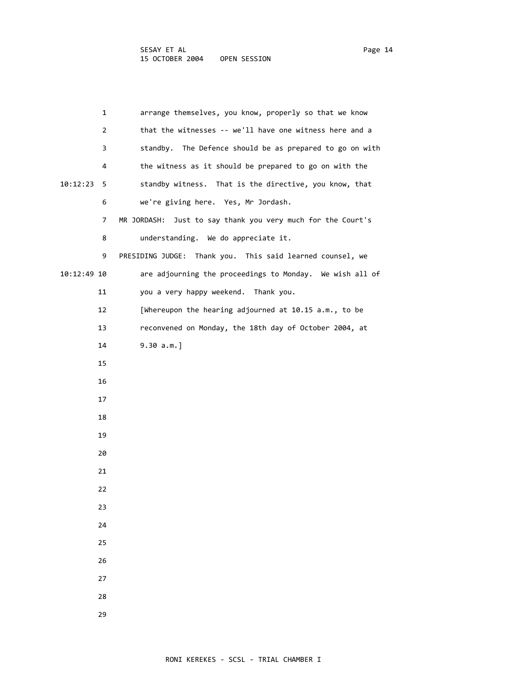| 1               | arrange themselves, you know, properly so that we know      |
|-----------------|-------------------------------------------------------------|
| $\overline{2}$  | that the witnesses -- we'll have one witness here and a     |
| 3               | standby. The Defence should be as prepared to go on with    |
| 4               | the witness as it should be prepared to go on with the      |
| 10:12:23<br>- 5 | standby witness. That is the directive, you know, that      |
| 6               | we're giving here. Yes, Mr Jordash.                         |
| 7               | MR JORDASH: Just to say thank you very much for the Court's |
| 8               | understanding. We do appreciate it.                         |
| 9               | PRESIDING JUDGE: Thank you. This said learned counsel, we   |
| 10:12:49 10     | are adjourning the proceedings to Monday. We wish all of    |
| 11              | you a very happy weekend. Thank you.                        |
| 12              | [Whereupon the hearing adjourned at 10.15 a.m., to be       |
| 13              | reconvened on Monday, the 18th day of October 2004, at      |
| 14              | $9.30 a.m.$ ]                                               |
| 15              |                                                             |
| 16              |                                                             |
| 17              |                                                             |
| 18              |                                                             |
| 19              |                                                             |
| 20              |                                                             |
| 21              |                                                             |
| 22              |                                                             |
| 23              |                                                             |
| 24              |                                                             |
| 25              |                                                             |
| 26              |                                                             |
| 27              |                                                             |
| 28              |                                                             |
| 29              |                                                             |